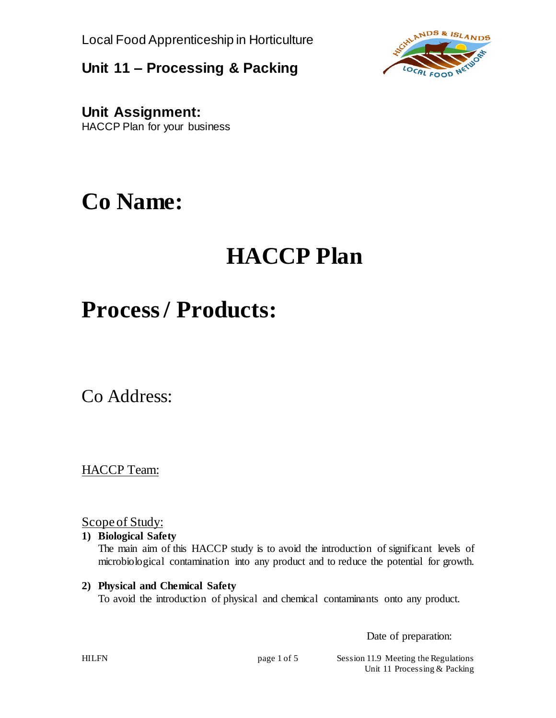Local Food Apprenticeship in Horticulture

**Unit 11 – Processing & Packing**



**Unit Assignment:** HACCP Plan for your business

## **Co Name:**

# **HACCP Plan**

## **Process / Products:**

Co Address:

HACCP Team:

Scope of Study:

#### **1) Biological Safety**

The main aim of this HACCP study is to avoid the introduction of significant levels of microbiological contamination into any product and to reduce the potential for growth.

#### **2) Physical and Chemical Safety**

To avoid the introduction of physical and chemical contaminants onto any product.

Date of preparation:

HILFN page 1 of 5 Session 11.9 Meeting the Regulations Unit 11 Processing & Packing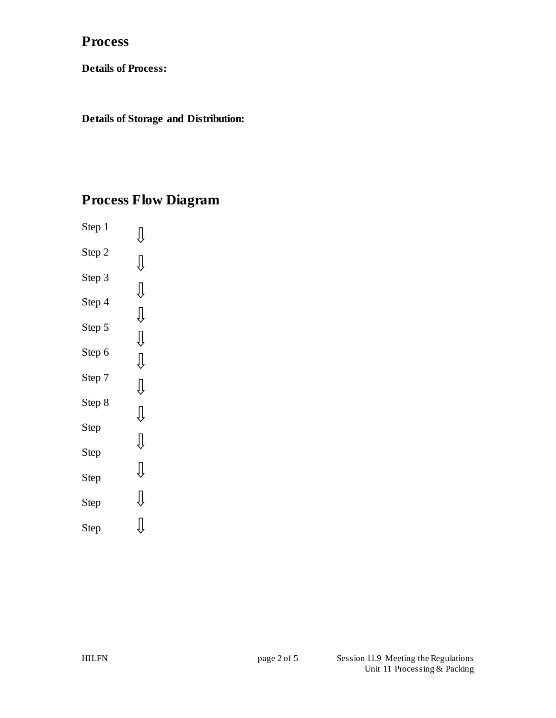### **Process**

**Details of Process:**

**Details of Storage and Distribution:**

## **Process Flow Diagram**

Step 1  $\bigcup$ Step 2  $\bigcup \limits$ Step 3  $\bigcup \limits$ Step 4  $\bigcup$ Step 5  $\bigcup$ Step 6  $\begin{matrix} \end{matrix}$ Step 7  $\bigcup$ Step 8  $\bigcup$ Step  $\bigcup \limits$ Step  $\bigcup \limits$ Step  $\bigcup \limits$ Step  $\bigcup\limits_{i=1}^{n}$ Step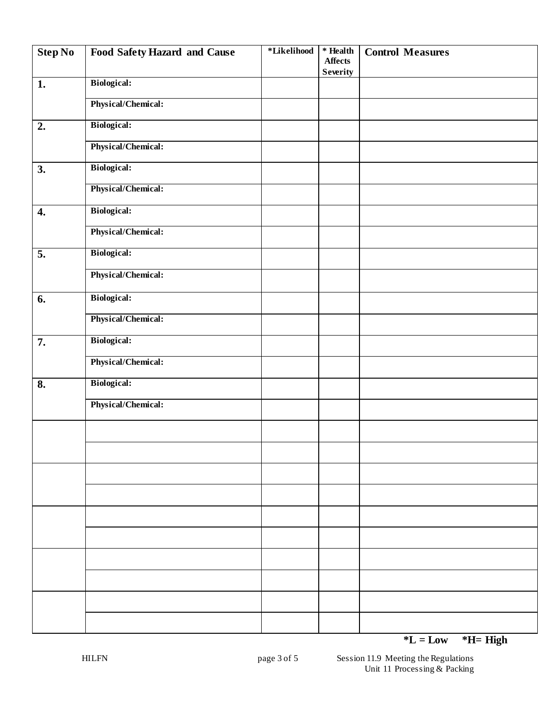| <b>Step No</b> | <b>Food Safety Hazard and Cause</b> | *Likelihood | $*$ Health<br><b>Affects</b><br><b>Severity</b> | <b>Control Measures</b> |
|----------------|-------------------------------------|-------------|-------------------------------------------------|-------------------------|
| 1.             | <b>Biological:</b>                  |             |                                                 |                         |
|                | Physical/Chemical:                  |             |                                                 |                         |
| 2.             | <b>Biological:</b>                  |             |                                                 |                         |
|                | Physical/Chemical:                  |             |                                                 |                         |
| 3.             | <b>Biological:</b>                  |             |                                                 |                         |
|                | Physical/Chemical:                  |             |                                                 |                         |
| 4.             | <b>Biological:</b>                  |             |                                                 |                         |
|                | Physical/Chemical:                  |             |                                                 |                         |
| 5.             | <b>Biological:</b>                  |             |                                                 |                         |
|                | Physical/Chemical:                  |             |                                                 |                         |
| 6.             | <b>Biological:</b>                  |             |                                                 |                         |
|                | Physical/Chemical:                  |             |                                                 |                         |
| 7.             | <b>Biological:</b>                  |             |                                                 |                         |
|                | Physical/Chemical:                  |             |                                                 |                         |
| 8.             | <b>Biological:</b>                  |             |                                                 |                         |
|                | Physical/Chemical:                  |             |                                                 |                         |
|                |                                     |             |                                                 |                         |
|                |                                     |             |                                                 |                         |
|                |                                     |             |                                                 |                         |
|                |                                     |             |                                                 |                         |
|                |                                     |             |                                                 |                         |
|                |                                     |             |                                                 |                         |
|                |                                     |             |                                                 |                         |
|                |                                     |             |                                                 |                         |
|                |                                     |             |                                                 |                         |
|                |                                     |             |                                                 |                         |

**\*L = Low \*H= High**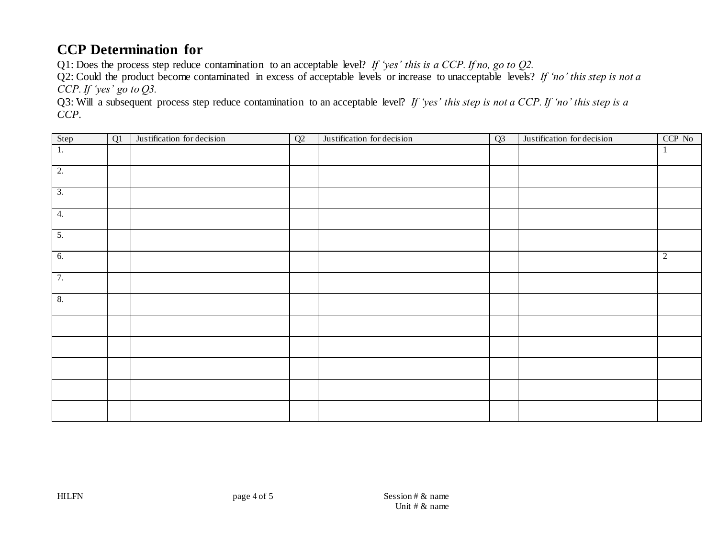### **CCP Determination for**

Q1: Does the process step reduce contamination to an acceptable level? *If 'yes' this is a CCP. If no, go to Q2.*

Q2: Could the product become contaminated in excess of acceptable levels or increase to unacceptable levels? *If 'no' this step is not a CCP. If 'yes' go to Q3.*

Q3: Will a subsequent process step reduce contamination to an acceptable level? *If 'yes' this step is not a CCP. If 'no' this step is a CCP.*

| Step             | Q1 | Justification for decision | Q2 | Justification for decision | Q3 | Justification for decision | CCP No         |
|------------------|----|----------------------------|----|----------------------------|----|----------------------------|----------------|
| 1.               |    |                            |    |                            |    |                            | - 1            |
| $\overline{2}$ . |    |                            |    |                            |    |                            |                |
| $\overline{3}$ . |    |                            |    |                            |    |                            |                |
| 4.               |    |                            |    |                            |    |                            |                |
| $\overline{5}$ . |    |                            |    |                            |    |                            |                |
| 6.               |    |                            |    |                            |    |                            | $\overline{2}$ |
| 7.               |    |                            |    |                            |    |                            |                |
| 8.               |    |                            |    |                            |    |                            |                |
|                  |    |                            |    |                            |    |                            |                |
|                  |    |                            |    |                            |    |                            |                |
|                  |    |                            |    |                            |    |                            |                |
|                  |    |                            |    |                            |    |                            |                |
|                  |    |                            |    |                            |    |                            |                |